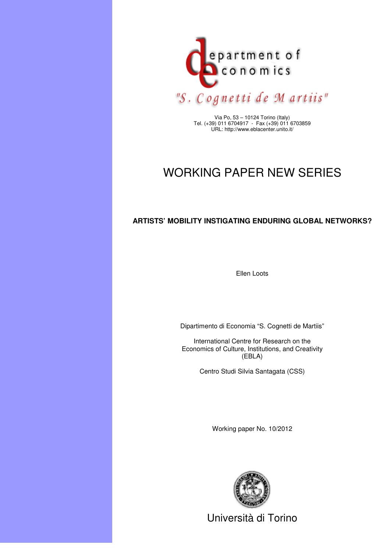

Via Po, 53 – 10124 Torino (Italy) Tel. (+39) 011 6704917 - Fax (+39) 011 6703859 URL: http://www.eblacenter.unito.it/

# WORKING PAPER NEW SERIES

# **ARTISTS' MOBILITY INSTIGATING ENDURING GLOBAL NETWORKS?**

Ellen Loots

Dipartimento di Economia "S. Cognetti de Martiis"

International Centre for Research on the Economics of Culture, Institutions, and Creativity (EBLA)

Centro Studi Silvia Santagata (CSS)

Working paper No. 10/2012



Università di Torino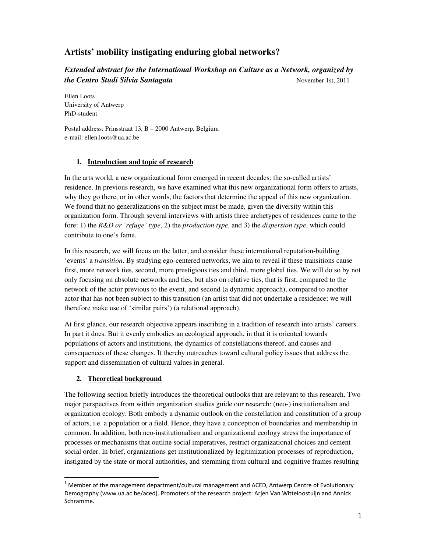# **Artists' mobility instigating enduring global networks?**

*Extended abstract for the International Workshop on Culture as a Network, organized by the Centro Studi Silvia Santagata* November 1st, 2011

Ellen Loots $<sup>1</sup>$ </sup> University of Antwerp PhD-student

Postal address: Prinsstraat 13, B – 2000 Antwerp, Belgium e-mail: ellen.loots@ua.ac.be

## **1. Introduction and topic of research**

In the arts world, a new organizational form emerged in recent decades: the so-called artists' residence. In previous research, we have examined what this new organizational form offers to artists, why they go there, or in other words, the factors that determine the appeal of this new organization. We found that no generalizations on the subject must be made, given the diversity within this organization form. Through several interviews with artists three archetypes of residences came to the fore: 1) the *R&D or 'refuge' type*, 2) the *production type*, and 3) the *dispersion type*, which could contribute to one's fame.

In this research, we will focus on the latter, and consider these international reputation-building 'events' a *transition*. By studying ego-centered networks, we aim to reveal if these transitions cause first, more network ties, second, more prestigious ties and third, more global ties. We will do so by not only focusing on absolute networks and ties, but also on relative ties, that is first, compared to the network of the actor previous to the event, and second (a dynamic approach), compared to another actor that has not been subject to this transition (an artist that did not undertake a residence; we will therefore make use of 'similar pairs') (a relational approach).

At first glance, our research objective appears inscribing in a tradition of research into artists' careers. In part it does. But it evenly embodies an ecological approach, in that it is oriented towards populations of actors and institutions, the dynamics of constellations thereof, and causes and consequences of these changes. It thereby outreaches toward cultural policy issues that address the support and dissemination of cultural values in general.

# **2. Theoretical background**

**.** 

The following section briefly introduces the theoretical outlooks that are relevant to this research. Two major perspectives from within organization studies guide our research: (neo-) institutionalism and organization ecology. Both embody a dynamic outlook on the constellation and constitution of a group of actors, i.e. a population or a field. Hence, they have a conception of boundaries and membership in common. In addition, both neo-institutionalism and organizational ecology stress the importance of processes or mechanisms that outline social imperatives, restrict organizational choices and cement social order. In brief, organizations get institutionalized by legitimization processes of reproduction, instigated by the state or moral authorities, and stemming from cultural and cognitive frames resulting

 $1$  Member of the management department/cultural management and ACED, Antwerp Centre of Evolutionary Demography (www.ua.ac.be/aced). Promoters of the research project: Arjen Van Witteloostuijn and Annick Schramme.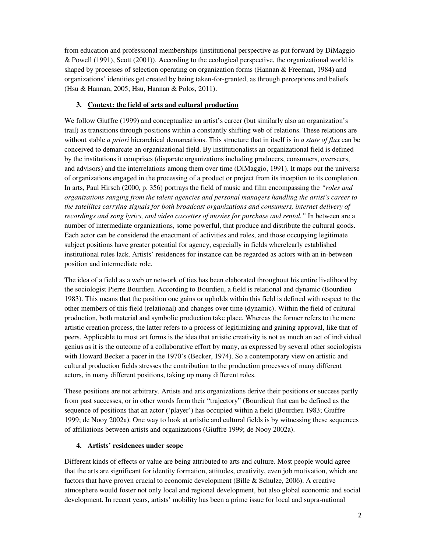from education and professional memberships (institutional perspective as put forward by DiMaggio & Powell (1991), Scott (2001)). According to the ecological perspective, the organizational world is shaped by processes of selection operating on organization forms (Hannan & Freeman, 1984) and organizations' identities get created by being taken-for-granted, as through perceptions and beliefs (Hsu & Hannan, 2005; Hsu, Hannan & Polos, 2011).

### **3. Context: the field of arts and cultural production**

We follow Giuffre (1999) and conceptualize an artist's career (but similarly also an organization's trail) as transitions through positions within a constantly shifting web of relations. These relations are without stable *a priori* hierarchical demarcations. This structure that in itself is in *a state of flux* can be conceived to demarcate an organizational field. By institutionalists an organizational field is defined by the institutions it comprises (disparate organizations including producers, consumers, overseers, and advisors) and the interrelations among them over time (DiMaggio, 1991). It maps out the universe of organizations engaged in the processing of a product or project from its inception to its completion. In arts, Paul Hirsch (2000, p. 356) portrays the field of music and film encompassing the *"roles and organizations ranging from the talent agencies and personal managers handling the artist's career to the satellites carrying signals for both broadcast organizations and consumers, internet delivery of recordings and song lyrics, and video cassettes of movies for purchase and rental."* In between are a number of intermediate organizations, some powerful, that produce and distribute the cultural goods. Each actor can be considered the enactment of activities and roles, and those occupying legitimate subject positions have greater potential for agency, especially in fields wherelearly established institutional rules lack. Artists' residences for instance can be regarded as actors with an in-between position and intermediate role.

The idea of a field as a web or network of ties has been elaborated throughout his entire livelihood by the sociologist Pierre Bourdieu. According to Bourdieu, a field is relational and dynamic (Bourdieu 1983). This means that the position one gains or upholds within this field is defined with respect to the other members of this field (relational) and changes over time (dynamic). Within the field of cultural production, both material and symbolic production take place. Whereas the former refers to the mere artistic creation process, the latter refers to a process of legitimizing and gaining approval, like that of peers. Applicable to most art forms is the idea that artistic creativity is not as much an act of individual genius as it is the outcome of a collaborative effort by many, as expressed by several other sociologists with Howard Becker a pacer in the 1970's (Becker, 1974). So a contemporary view on artistic and cultural production fields stresses the contribution to the production processes of many different actors, in many different positions, taking up many different roles.

These positions are not arbitrary. Artists and arts organizations derive their positions or success partly from past successes, or in other words form their "trajectory" (Bourdieu) that can be defined as the sequence of positions that an actor ('player') has occupied within a field (Bourdieu 1983; Giuffre 1999; de Nooy 2002a). One way to look at artistic and cultural fields is by witnessing these sequences of affiliations between artists and organizations (Giuffre 1999; de Nooy 2002a).

#### **4. Artists' residences under scope**

Different kinds of effects or value are being attributed to arts and culture. Most people would agree that the arts are significant for identity formation, attitudes, creativity, even job motivation, which are factors that have proven crucial to economic development (Bille & Schulze, 2006). A creative atmosphere would foster not only local and regional development, but also global economic and social development. In recent years, artists' mobility has been a prime issue for local and supra-national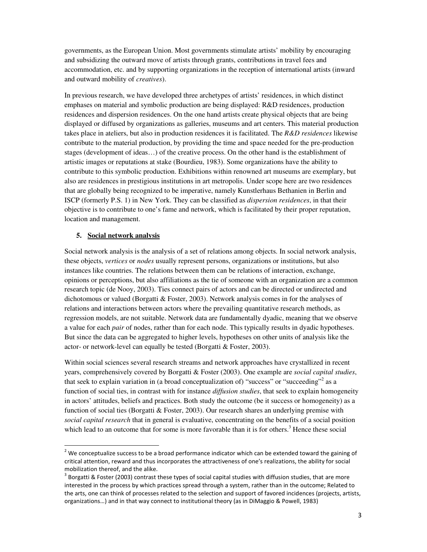governments, as the European Union. Most governments stimulate artists' mobility by encouraging and subsidizing the outward move of artists through grants, contributions in travel fees and accommodation, etc. and by supporting organizations in the reception of international artists (inward and outward mobility of *creatives*).

In previous research, we have developed three archetypes of artists' residences, in which distinct emphases on material and symbolic production are being displayed: R&D residences, production residences and dispersion residences. On the one hand artists create physical objects that are being displayed or diffused by organizations as galleries, museums and art centers. This material production takes place in ateliers, but also in production residences it is facilitated. The *R&D residences* likewise contribute to the material production, by providing the time and space needed for the pre-production stages (development of ideas…) of the creative process. On the other hand is the establishment of artistic images or reputations at stake (Bourdieu, 1983). Some organizations have the ability to contribute to this symbolic production. Exhibitions within renowned art museums are exemplary, but also are residences in prestigious institutions in art metropolis. Under scope here are two residences that are globally being recognized to be imperative, namely Kunstlerhaus Bethanien in Berlin and ISCP (formerly P.S. 1) in New York. They can be classified as *dispersion residences*, in that their objective is to contribute to one's fame and network, which is facilitated by their proper reputation, location and management.

## **5. Social network analysis**

 $\overline{a}$ 

Social network analysis is the analysis of a set of relations among objects. In social network analysis, these objects, *vertices* or *nodes* usually represent persons, organizations or institutions, but also instances like countries. The relations between them can be relations of interaction, exchange, opinions or perceptions, but also affiliations as the tie of someone with an organization are a common research topic (de Nooy, 2003). Ties connect pairs of actors and can be directed or undirected and dichotomous or valued (Borgatti & Foster, 2003). Network analysis comes in for the analyses of relations and interactions between actors where the prevailing quantitative research methods, as regression models, are not suitable. Network data are fundamentally dyadic, meaning that we observe a value for each *pair* of nodes, rather than for each node. This typically results in dyadic hypotheses. But since the data can be aggregated to higher levels, hypotheses on other units of analysis like the actor- or network-level can equally be tested (Borgatti & Foster, 2003).

Within social sciences several research streams and network approaches have crystallized in recent years, comprehensively covered by Borgatti & Foster (2003). One example are *social capital studies*, that seek to explain variation in (a broad conceptualization of) "success" or "succeeding"<sup>2</sup> as a function of social ties, in contrast with for instance *diffusion studies*, that seek to explain homogeneity in actors' attitudes, beliefs and practices. Both study the outcome (be it success or homogeneity) as a function of social ties (Borgatti & Foster, 2003). Our research shares an underlying premise with *social capital research* that in general is evaluative, concentrating on the benefits of a social position which lead to an outcome that for some is more favorable than it is for others.<sup>3</sup> Hence these social

 $2$  We conceptualize success to be a broad performance indicator which can be extended toward the gaining of critical attention, reward and thus incorporates the attractiveness of one's realizations, the ability for social mobilization thereof, and the alike.

 $3$  Borgatti & Foster (2003) contrast these types of social capital studies with diffusion studies, that are more interested in the process by which practices spread through a system, rather than in the outcome; Related to the arts, one can think of processes related to the selection and support of favored incidences (projects, artists, organizations…) and in that way connect to institutional theory (as in DiMaggio & Powell, 1983)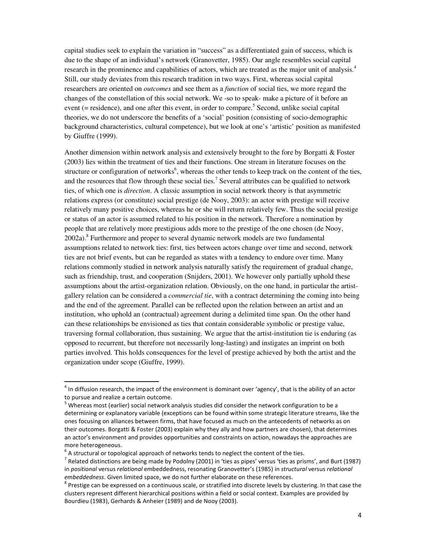capital studies seek to explain the variation in "success" as a differentiated gain of success, which is due to the shape of an individual's network (Granovetter, 1985). Our angle resembles social capital research in the prominence and capabilities of actors, which are treated as the major unit of analysis.<sup>4</sup> Still, our study deviates from this research tradition in two ways. First, whereas social capital researchers are oriented on *outcomes* and see them as a *function* of social ties, we more regard the changes of the constellation of this social network. We -so to speak- make a picture of it before an event (= residence), and one after this event, in order to compare.<sup>5</sup> Second, unlike social capital theories, we do not underscore the benefits of a 'social' position (consisting of socio-demographic background characteristics, cultural competence), but we look at one's 'artistic' position as manifested by Giuffre (1999).

Another dimension within network analysis and extensively brought to the fore by Borgatti & Foster (2003) lies within the treatment of ties and their functions. One stream in literature focuses on the structure or configuration of networks<sup>6</sup>, whereas the other tends to keep track on the content of the ties, and the resources that flow through these social ties.<sup>7</sup> Several attributes can be qualified to network ties, of which one is *direction*. A classic assumption in social network theory is that asymmetric relations express (or constitute) social prestige (de Nooy, 2003): an actor with prestige will receive relatively many positive choices, whereas he or she will return relatively few. Thus the social prestige or status of an actor is assumed related to his position in the network. Therefore a nomination by people that are relatively more prestigious adds more to the prestige of the one chosen (de Nooy, 2002a).<sup>8</sup> Furthermore and proper to several dynamic network models are two fundamental assumptions related to network ties: first, ties between actors change over time and second, network ties are not brief events, but can be regarded as states with a tendency to endure over time. Many relations commonly studied in network analysis naturally satisfy the requirement of gradual change, such as friendship, trust, and cooperation (Snijders, 2001). We however only partially uphold these assumptions about the artist-organization relation. Obviously, on the one hand, in particular the artistgallery relation can be considered a *commercial tie*, with a contract determining the coming into being and the end of the agreement. Parallel can be reflected upon the relation between an artist and an institution, who uphold an (contractual) agreement during a delimited time span. On the other hand can these relationships be envisioned as ties that contain considerable symbolic or prestige value, traversing formal collaboration, thus sustaining. We argue that the artist-institution tie is enduring (as opposed to recurrent, but therefore not necessarily long-lasting) and instigates an imprint on both parties involved. This holds consequences for the level of prestige achieved by both the artist and the organization under scope (Giuffre, 1999).

1

 $<sup>4</sup>$  In diffusion research, the impact of the environment is dominant over 'agency', that is the ability of an actor</sup> to pursue and realize a certain outcome.

<sup>&</sup>lt;sup>5</sup> Whereas most (earlier) social network analysis studies did consider the network configuration to be a determining or explanatory variable (exceptions can be found within some strategic literature streams, like the ones focusing on alliances between firms, that have focused as much on the antecedents of networks as on their outcomes. Borgatti & Foster (2003) explain why they ally and how partners are chosen), that determines an actor's environment and provides opportunities and constraints on action, nowadays the approaches are more heterogeneous.

 $^6$  A structural or topological approach of networks tends to neglect the content of the ties.<br><sup>7</sup> Pelated distinctions are being mode by Pedalay (2001) in 'ties as pines' versus 'ties as prior

<sup>&</sup>lt;sup>7</sup> Related distinctions are being made by Podolny (2001) in 'ties as pipes' versus 'ties as prisms', and Burt (1987) in positional versus relational embeddedness, resonating Granovetter's (1985) in structural versus relational embeddedness. Given limited space, we do not further elaborate on these references.

 $8$  Prestige can be expressed on a continuous scale, or stratified into discrete levels by clustering. In that case the clusters represent different hierarchical positions within a field or social context. Examples are provided by Bourdieu (1983), Gerhards & Anheier (1989) and de Nooy (2003).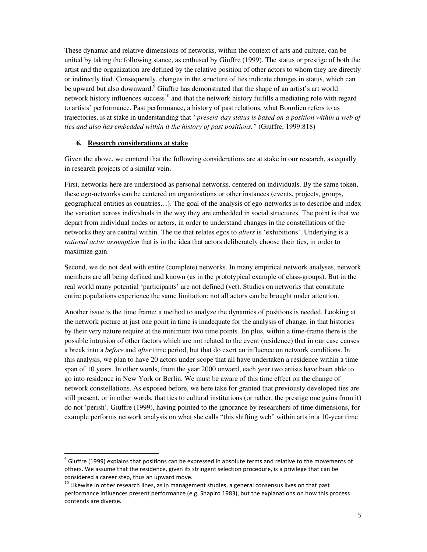These dynamic and relative dimensions of networks, within the context of arts and culture, can be united by taking the following stance, as enthused by Giuffre (1999). The status or prestige of both the artist and the organization are defined by the relative position of other actors to whom they are directly or indirectly tied. Consequently, changes in the structure of ties indicate changes in status, which can be upward but also downward.<sup>9</sup> Giuffre has demonstrated that the shape of an artist's art world network history influences success<sup>10</sup> and that the network history fulfills a mediating role with regard to artists' performance. Past performance, a history of past relations, what Bourdieu refers to as trajectories, is at stake in understanding that *"present-day status is based on a position within a web of ties and also has embedded within it the history of past positions."* (Giuffre, 1999:818)

#### **6. Research considerations at stake**

1

Given the above, we contend that the following considerations are at stake in our research, as equally in research projects of a similar vein.

First, networks here are understood as personal networks, centered on individuals. By the same token, these ego-networks can be centered on organizations or other instances (events, projects, groups, geographical entities as countries…). The goal of the analysis of ego-networks is to describe and index the variation across individuals in the way they are embedded in social structures. The point is that we depart from individual nodes or actors, in order to understand changes in the constellations of the networks they are central within. The tie that relates egos to *alters* is 'exhibitions'. Underlying is a *rational actor assumption* that is in the idea that actors deliberately choose their ties, in order to maximize gain.

Second, we do not deal with entire (complete) networks. In many empirical network analyses, network members are all being defined and known (as in the prototypical example of class-groups). But in the real world many potential 'participants' are not defined (yet). Studies on networks that constitute entire populations experience the same limitation: not all actors can be brought under attention.

Another issue is the time frame: a method to analyze the dynamics of positions is needed. Looking at the network picture at just one point in time is inadequate for the analysis of change, in that histories by their very nature require at the minimum two time points. En plus, within a time-frame there is the possible intrusion of other factors which are not related to the event (residence) that in our case causes a break into a *before* and *after* time period, but that do exert an influence on network conditions. In this analysis, we plan to have 20 actors under scope that all have undertaken a residence within a time span of 10 years. In other words, from the year 2000 onward, each year two artists have been able to go into residence in New York or Berlin. We must be aware of this time effect on the change of network constellations. As exposed before, we here take for granted that previously developed ties are still present, or in other words, that ties to cultural institutions (or rather, the prestige one gains from it) do not 'perish'. Giuffre (1999), having pointed to the ignorance by researchers of time dimensions, for example performs network analysis on what she calls "this shifting web" within arts in a 10-year time

 $^9$  Giuffre (1999) explains that positions can be expressed in absolute terms and relative to the movements of others. We assume that the residence, given its stringent selection procedure, is a privilege that can be considered a career step, thus an upward move.

 $10$  Likewise in other research lines, as in management studies, a general consensus lives on that past performance influences present performance (e.g. Shapiro 1983), but the explanations on how this process contends are diverse.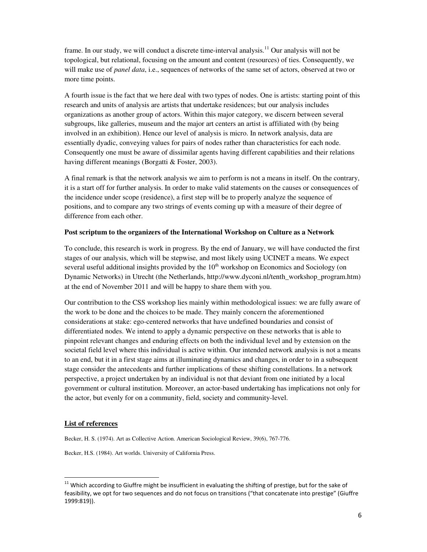frame. In our study, we will conduct a discrete time-interval analysis.<sup>11</sup> Our analysis will not be topological, but relational, focusing on the amount and content (resources) of ties. Consequently, we will make use of *panel data*, i.e., sequences of networks of the same set of actors, observed at two or more time points.

A fourth issue is the fact that we here deal with two types of nodes. One is artists: starting point of this research and units of analysis are artists that undertake residences; but our analysis includes organizations as another group of actors. Within this major category, we discern between several subgroups, like galleries, museum and the major art centers an artist is affiliated with (by being involved in an exhibition). Hence our level of analysis is micro. In network analysis, data are essentially dyadic, conveying values for pairs of nodes rather than characteristics for each node. Consequently one must be aware of dissimilar agents having different capabilities and their relations having different meanings (Borgatti & Foster, 2003).

A final remark is that the network analysis we aim to perform is not a means in itself. On the contrary, it is a start off for further analysis. In order to make valid statements on the causes or consequences of the incidence under scope (residence), a first step will be to properly analyze the sequence of positions, and to compare any two strings of events coming up with a measure of their degree of difference from each other.

#### **Post scriptum to the organizers of the International Workshop on Culture as a Network**

To conclude, this research is work in progress. By the end of January, we will have conducted the first stages of our analysis, which will be stepwise, and most likely using UCINET a means. We expect several useful additional insights provided by the  $10<sup>th</sup>$  workshop on Economics and Sociology (on Dynamic Networks) in Utrecht (the Netherlands, http://www.dyconi.nl/tenth\_workshop\_program.htm) at the end of November 2011 and will be happy to share them with you.

Our contribution to the CSS workshop lies mainly within methodological issues: we are fully aware of the work to be done and the choices to be made. They mainly concern the aforementioned considerations at stake: ego-centered networks that have undefined boundaries and consist of differentiated nodes. We intend to apply a dynamic perspective on these networks that is able to pinpoint relevant changes and enduring effects on both the individual level and by extension on the societal field level where this individual is active within. Our intended network analysis is not a means to an end, but it in a first stage aims at illuminating dynamics and changes, in order to in a subsequent stage consider the antecedents and further implications of these shifting constellations. In a network perspective, a project undertaken by an individual is not that deviant from one initiated by a local government or cultural institution. Moreover, an actor-based undertaking has implications not only for the actor, but evenly for on a community, field, society and community-level.

#### **List of references**

**.** 

Becker, H. S. (1974). Art as Collective Action. American Sociological Review, 39(6), 767-776.

Becker, H.S. (1984). Art worlds. University of California Press.

 $11$  Which according to Giuffre might be insufficient in evaluating the shifting of prestige, but for the sake of feasibility, we opt for two sequences and do not focus on transitions ("that concatenate into prestige" (Giuffre 1999:819)).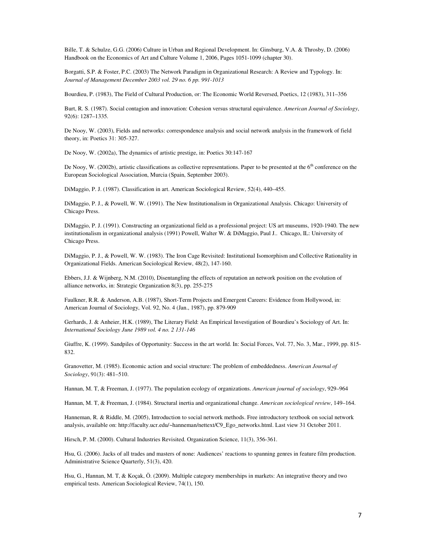Bille, T. & Schulze, G.G. (2006) Culture in Urban and Regional Development. In: Ginsburg, V.A. & Throsby, D. (2006) Handbook on the Economics of Art and Culture Volume 1, 2006, Pages 1051-1099 (chapter 30).

Borgatti, S.P. & Foster, P.C. (2003) The Network Paradigm in Organizational Research: A Review and Typology. In: *Journal of Management December 2003 vol. 29 no. 6 pp. 991-1013*

Bourdieu, P. (1983), The Field of Cultural Production, or: The Economic World Reversed, Poetics, 12 (1983), 311–356

Burt, R. S. (1987). Social contagion and innovation: Cohesion versus structural equivalence. *American Journal of Sociology*, 92(6): 1287–1335.

De Nooy, W. (2003), Fields and networks: correspondence analysis and social network analysis in the framework of field theory, in: Poetics 31: 305-327.

De Nooy, W. (2002a), The dynamics of artistic prestige, in: Poetics 30:147-167

De Nooy, W. (2002b), artistic classifications as collective representations. Paper to be presented at the  $6<sup>th</sup>$  conference on the European Sociological Association, Murcia (Spain, September 2003).

DiMaggio, P. J. (1987). Classification in art. American Sociological Review, 52(4), 440–455.

DiMaggio, P. J., & Powell, W. W. (1991). The New Institutionalism in Organizational Analysis. Chicago: University of Chicago Press.

DiMaggio, P. J. (1991). Constructing an organizational field as a professional project: US art museums, 1920-1940. The new institutionalism in organizational analysis (1991) Powell, Walter W. & DiMaggio, Paul J.. Chicago, IL: University of Chicago Press.

DiMaggio, P. J., & Powell, W. W. (1983). The Iron Cage Revisited: Institutional Isomorphism and Collective Rationality in Organizational Fields. American Sociological Review, 48(2), 147-160.

Ebbers, J.J. & Wijnberg, N.M. (2010), Disentangling the effects of reputation an network position on the evolution of alliance networks, in: Strategic Organization 8(3), pp. 255-275

Faulkner, R.R. & Anderson, A.B. (1987), Short-Term Projects and Emergent Careers: Evidence from Hollywood, in: American Journal of Sociology, Vol. 92, No. 4 (Jan., 1987), pp. 879-909

Gerhards, J. & Anheier, H.K. (1989), The Literary Field: An Empirical Investigation of Bourdieu's Sociology of Art. In: *International Sociology June 1989 vol. 4 no. 2 131-146*

Giuffre, K. (1999). Sandpiles of Opportunity: Success in the art world. In: Social Forces, Vol. 77, No. 3, Mar., 1999, pp. 815- 832.

Granovetter, M. (1985). Economic action and social structure: The problem of embeddedness. *American Journal of Sociology*, 91(3): 481–510.

Hannan, M. T, & Freeman, J. (1977). The population ecology of organizations. *American journal of sociology*, 929–964

Hannan, M. T, & Freeman, J. (1984). Structural inertia and organizational change. *American sociological review*, 149–164.

Hanneman, R. & Riddle, M. (2005), Introduction to social network methods. Free introductory textbook on social network analysis, available on: http://faculty.ucr.edu/~hanneman/nettext/C9\_Ego\_networks.html. Last view 31 October 2011.

Hirsch, P. M. (2000). Cultural Industries Revisited. Organization Science, 11(3), 356-361.

Hsu, G. (2006). Jacks of all trades and masters of none: Audiences' reactions to spanning genres in feature film production. Administrative Science Quarterly, 51(3), 420.

Hsu, G., Hannan, M. T, & Koçak, Ö. (2009). Multiple category memberships in markets: An integrative theory and two empirical tests. American Sociological Review, 74(1), 150.